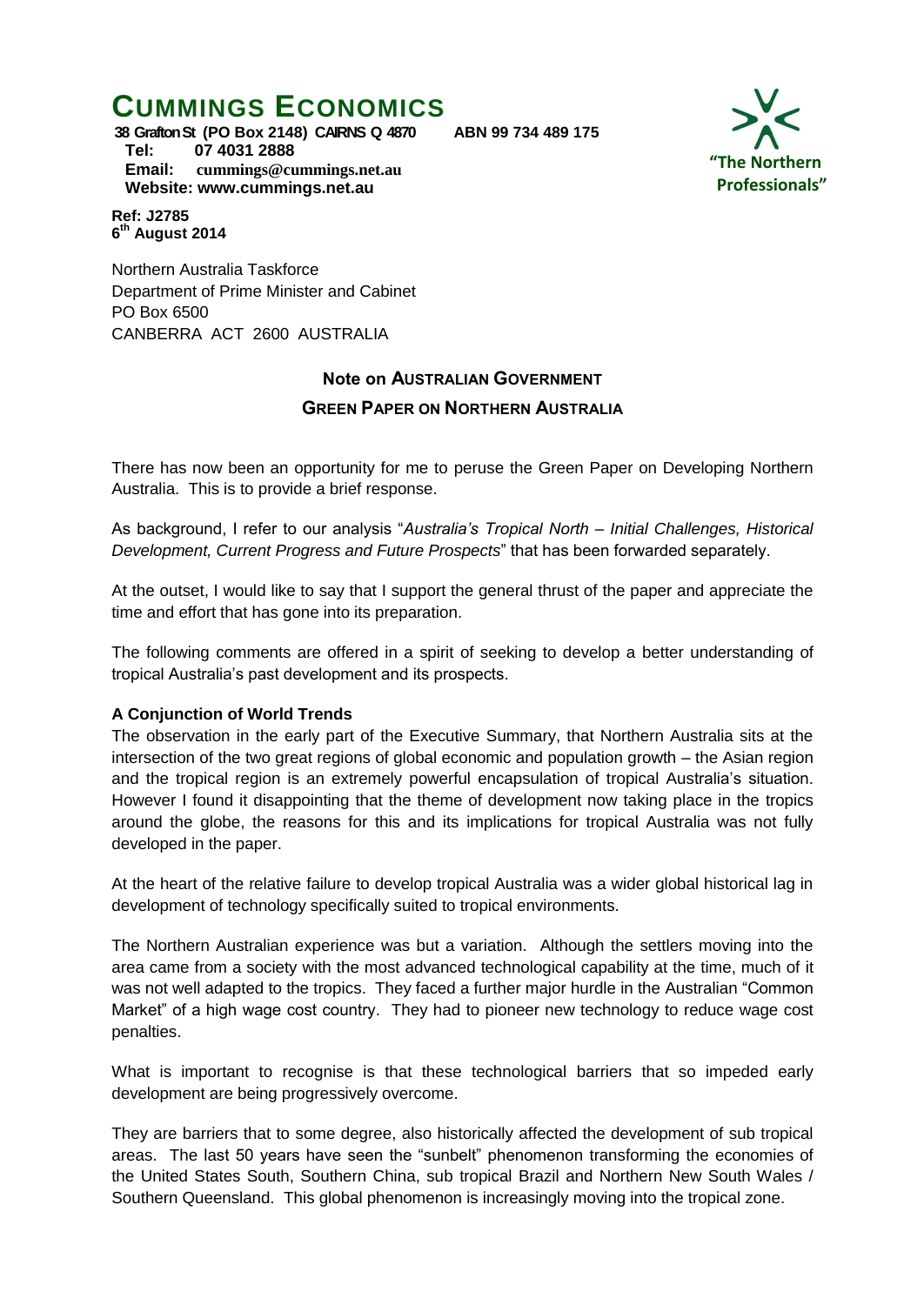# **CUMMINGS ECONOMICS**

**"The Northern Professionals"**

**38 Grafton St (PO Box 2148) CAIRNS Q 4870 ABN 99 734 489 175 Tel: 07 4031 2888 Email: [cummings@cummings.net.au](mailto:cummings@cummings.net.au) Website: www.cummings.net.au**

#### **Ref: J2785 6 th August 2014**

Northern Australia Taskforce Department of Prime Minister and Cabinet PO Box 6500 CANBERRA ACT 2600 AUSTRALIA

## **Note on AUSTRALIAN GOVERNMENT**

## **GREEN PAPER ON NORTHERN AUSTRALIA**

There has now been an opportunity for me to peruse the Green Paper on Developing Northern Australia. This is to provide a brief response.

As background, I refer to our analysis "*Australia's Tropical North – Initial Challenges, Historical Development, Current Progress and Future Prospects*" that has been forwarded separately.

At the outset, I would like to say that I support the general thrust of the paper and appreciate the time and effort that has gone into its preparation.

The following comments are offered in a spirit of seeking to develop a better understanding of tropical Australia's past development and its prospects.

## **A Conjunction of World Trends**

The observation in the early part of the Executive Summary, that Northern Australia sits at the intersection of the two great regions of global economic and population growth – the Asian region and the tropical region is an extremely powerful encapsulation of tropical Australia's situation. However I found it disappointing that the theme of development now taking place in the tropics around the globe, the reasons for this and its implications for tropical Australia was not fully developed in the paper.

At the heart of the relative failure to develop tropical Australia was a wider global historical lag in development of technology specifically suited to tropical environments.

The Northern Australian experience was but a variation. Although the settlers moving into the area came from a society with the most advanced technological capability at the time, much of it was not well adapted to the tropics. They faced a further major hurdle in the Australian "Common Market" of a high wage cost country. They had to pioneer new technology to reduce wage cost penalties.

What is important to recognise is that these technological barriers that so impeded early development are being progressively overcome.

They are barriers that to some degree, also historically affected the development of sub tropical areas. The last 50 years have seen the "sunbelt" phenomenon transforming the economies of the United States South, Southern China, sub tropical Brazil and Northern New South Wales / Southern Queensland. This global phenomenon is increasingly moving into the tropical zone.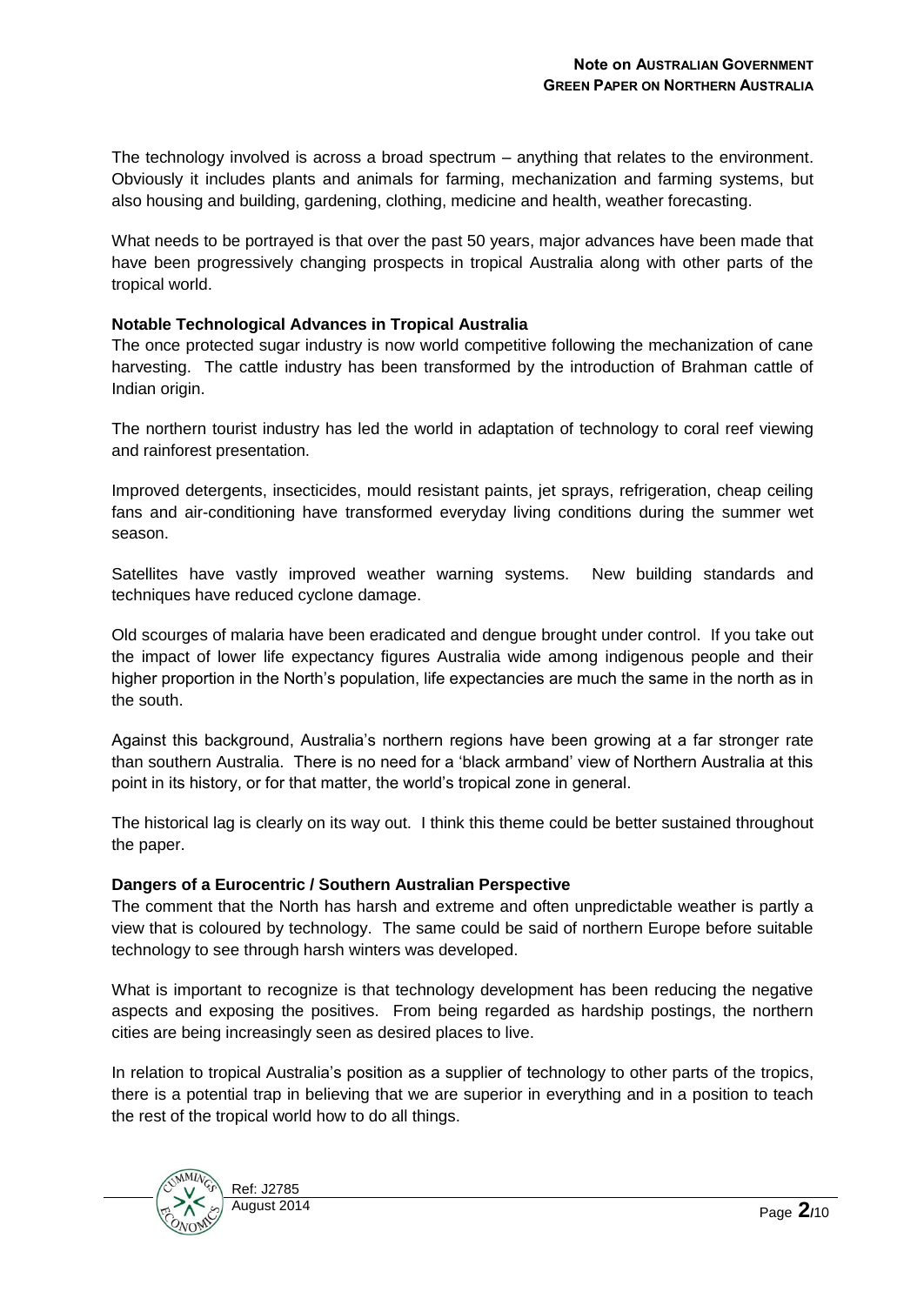The technology involved is across a broad spectrum – anything that relates to the environment. Obviously it includes plants and animals for farming, mechanization and farming systems, but also housing and building, gardening, clothing, medicine and health, weather forecasting.

What needs to be portrayed is that over the past 50 years, major advances have been made that have been progressively changing prospects in tropical Australia along with other parts of the tropical world.

## **Notable Technological Advances in Tropical Australia**

The once protected sugar industry is now world competitive following the mechanization of cane harvesting. The cattle industry has been transformed by the introduction of Brahman cattle of Indian origin.

The northern tourist industry has led the world in adaptation of technology to coral reef viewing and rainforest presentation.

Improved detergents, insecticides, mould resistant paints, jet sprays, refrigeration, cheap ceiling fans and air-conditioning have transformed everyday living conditions during the summer wet season.

Satellites have vastly improved weather warning systems. New building standards and techniques have reduced cyclone damage.

Old scourges of malaria have been eradicated and dengue brought under control. If you take out the impact of lower life expectancy figures Australia wide among indigenous people and their higher proportion in the North's population, life expectancies are much the same in the north as in the south.

Against this background, Australia's northern regions have been growing at a far stronger rate than southern Australia. There is no need for a 'black armband' view of Northern Australia at this point in its history, or for that matter, the world's tropical zone in general.

The historical lag is clearly on its way out. I think this theme could be better sustained throughout the paper.

#### **Dangers of a Eurocentric / Southern Australian Perspective**

The comment that the North has harsh and extreme and often unpredictable weather is partly a view that is coloured by technology. The same could be said of northern Europe before suitable technology to see through harsh winters was developed.

What is important to recognize is that technology development has been reducing the negative aspects and exposing the positives. From being regarded as hardship postings, the northern cities are being increasingly seen as desired places to live.

In relation to tropical Australia's position as a supplier of technology to other parts of the tropics, there is a potential trap in believing that we are superior in everything and in a position to teach the rest of the tropical world how to do all things.

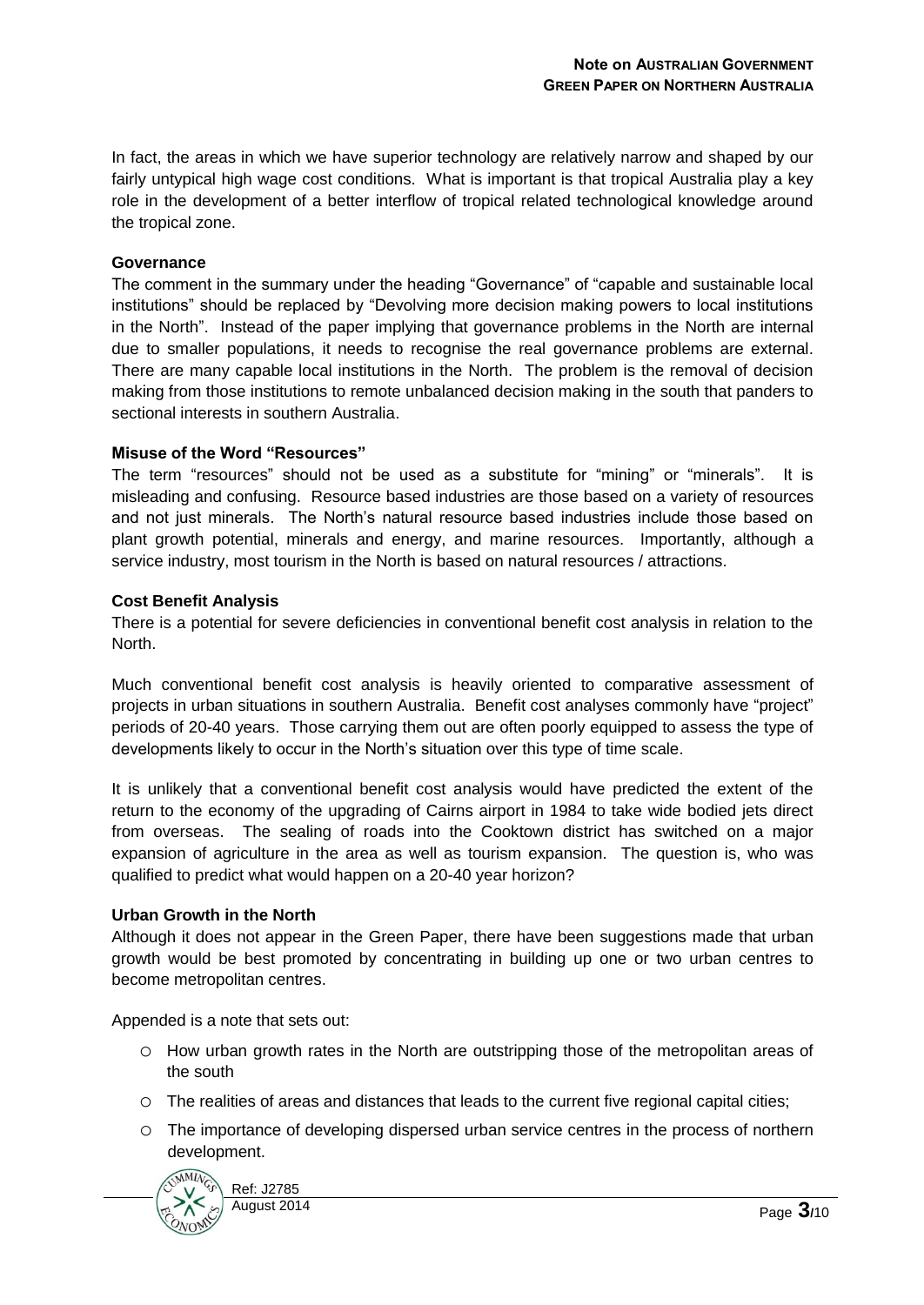In fact, the areas in which we have superior technology are relatively narrow and shaped by our fairly untypical high wage cost conditions. What is important is that tropical Australia play a key role in the development of a better interflow of tropical related technological knowledge around the tropical zone.

#### **Governance**

The comment in the summary under the heading "Governance" of "capable and sustainable local institutions" should be replaced by "Devolving more decision making powers to local institutions in the North". Instead of the paper implying that governance problems in the North are internal due to smaller populations, it needs to recognise the real governance problems are external. There are many capable local institutions in the North. The problem is the removal of decision making from those institutions to remote unbalanced decision making in the south that panders to sectional interests in southern Australia.

#### **Misuse of the Word "Resources"**

The term "resources" should not be used as a substitute for "mining" or "minerals". It is misleading and confusing. Resource based industries are those based on a variety of resources and not just minerals. The North's natural resource based industries include those based on plant growth potential, minerals and energy, and marine resources. Importantly, although a service industry, most tourism in the North is based on natural resources / attractions.

#### **Cost Benefit Analysis**

There is a potential for severe deficiencies in conventional benefit cost analysis in relation to the North.

Much conventional benefit cost analysis is heavily oriented to comparative assessment of projects in urban situations in southern Australia. Benefit cost analyses commonly have "project" periods of 20-40 years. Those carrying them out are often poorly equipped to assess the type of developments likely to occur in the North's situation over this type of time scale.

It is unlikely that a conventional benefit cost analysis would have predicted the extent of the return to the economy of the upgrading of Cairns airport in 1984 to take wide bodied jets direct from overseas. The sealing of roads into the Cooktown district has switched on a major expansion of agriculture in the area as well as tourism expansion. The question is, who was qualified to predict what would happen on a 20-40 year horizon?

#### **Urban Growth in the North**

Although it does not appear in the Green Paper, there have been suggestions made that urban growth would be best promoted by concentrating in building up one or two urban centres to become metropolitan centres.

Appended is a note that sets out:

- o How urban growth rates in the North are outstripping those of the metropolitan areas of the south
- o The realities of areas and distances that leads to the current five regional capital cities;
- o The importance of developing dispersed urban service centres in the process of northern development.

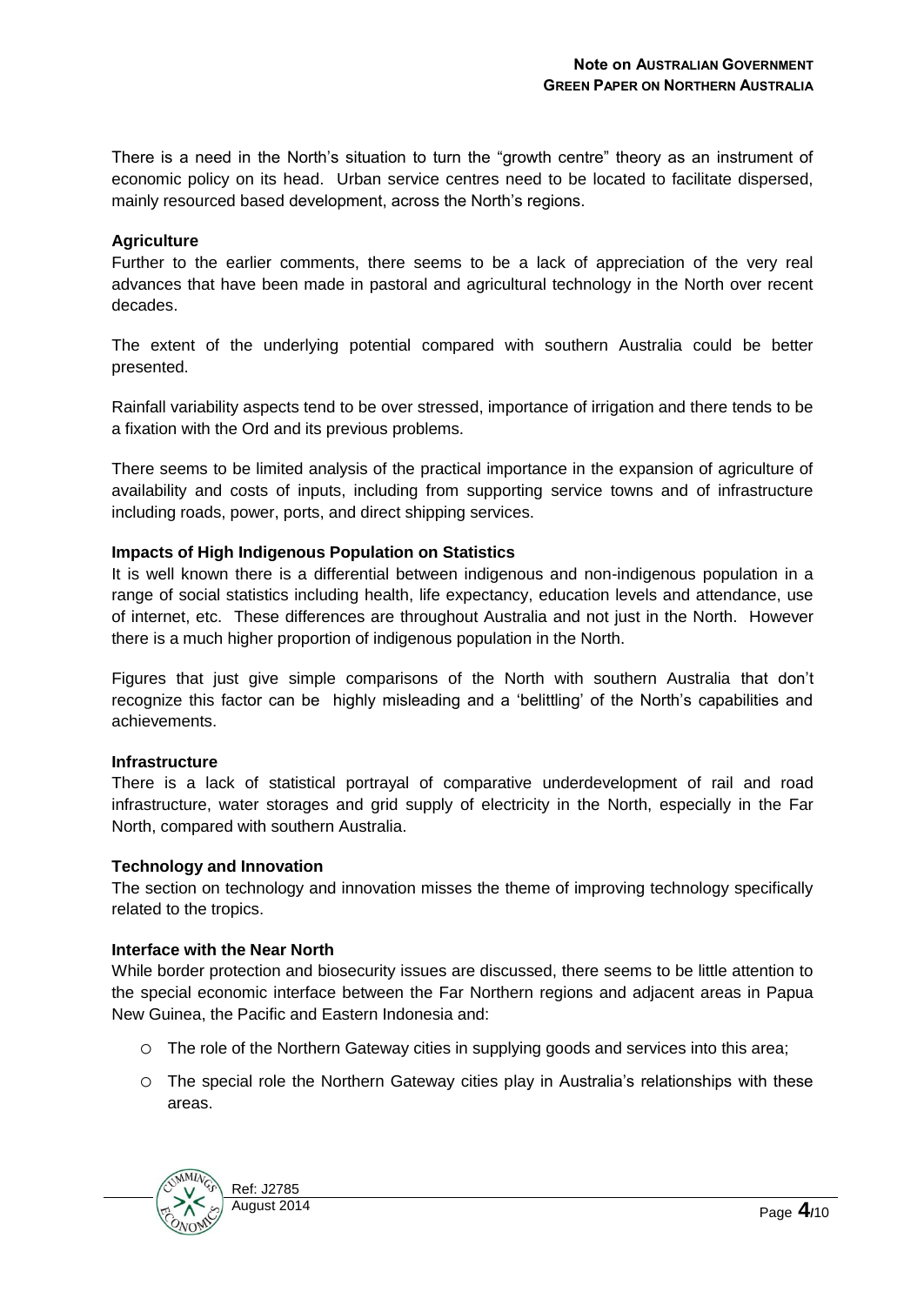There is a need in the North's situation to turn the "growth centre" theory as an instrument of economic policy on its head. Urban service centres need to be located to facilitate dispersed, mainly resourced based development, across the North's regions.

#### **Agriculture**

Further to the earlier comments, there seems to be a lack of appreciation of the very real advances that have been made in pastoral and agricultural technology in the North over recent decades.

The extent of the underlying potential compared with southern Australia could be better presented.

Rainfall variability aspects tend to be over stressed, importance of irrigation and there tends to be a fixation with the Ord and its previous problems.

There seems to be limited analysis of the practical importance in the expansion of agriculture of availability and costs of inputs, including from supporting service towns and of infrastructure including roads, power, ports, and direct shipping services.

#### **Impacts of High Indigenous Population on Statistics**

It is well known there is a differential between indigenous and non-indigenous population in a range of social statistics including health, life expectancy, education levels and attendance, use of internet, etc. These differences are throughout Australia and not just in the North. However there is a much higher proportion of indigenous population in the North.

Figures that just give simple comparisons of the North with southern Australia that don't recognize this factor can be highly misleading and a 'belittling' of the North's capabilities and achievements.

#### **Infrastructure**

There is a lack of statistical portrayal of comparative underdevelopment of rail and road infrastructure, water storages and grid supply of electricity in the North, especially in the Far North, compared with southern Australia.

#### **Technology and Innovation**

The section on technology and innovation misses the theme of improving technology specifically related to the tropics.

#### **Interface with the Near North**

While border protection and biosecurity issues are discussed, there seems to be little attention to the special economic interface between the Far Northern regions and adjacent areas in Papua New Guinea, the Pacific and Eastern Indonesia and:

- o The role of the Northern Gateway cities in supplying goods and services into this area;
- o The special role the Northern Gateway cities play in Australia's relationships with these areas.

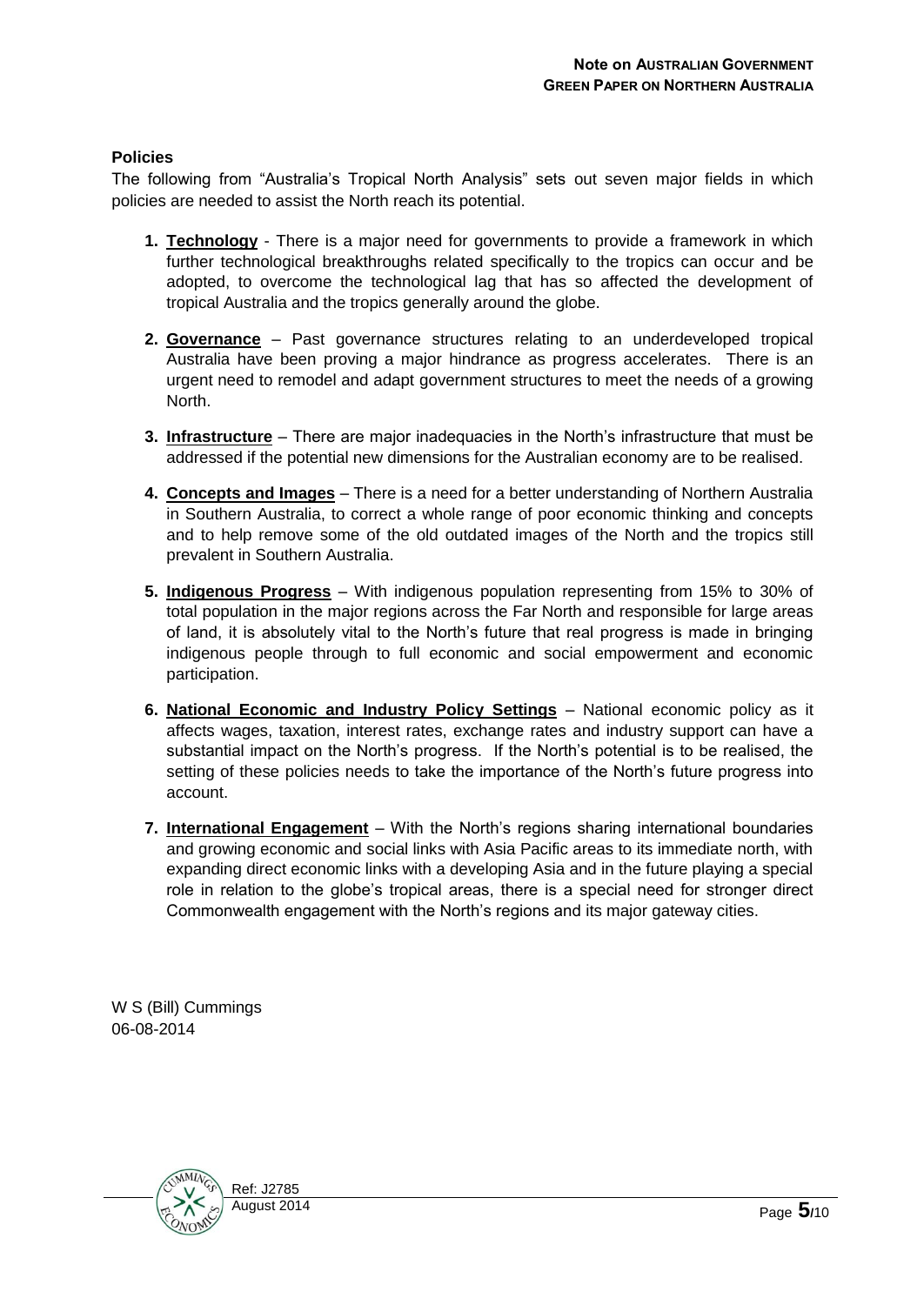## **Policies**

The following from "Australia's Tropical North Analysis" sets out seven major fields in which policies are needed to assist the North reach its potential.

- **1. Technology** There is a major need for governments to provide a framework in which further technological breakthroughs related specifically to the tropics can occur and be adopted, to overcome the technological lag that has so affected the development of tropical Australia and the tropics generally around the globe.
- **2. Governance** Past governance structures relating to an underdeveloped tropical Australia have been proving a major hindrance as progress accelerates. There is an urgent need to remodel and adapt government structures to meet the needs of a growing North.
- **3. Infrastructure** There are major inadequacies in the North's infrastructure that must be addressed if the potential new dimensions for the Australian economy are to be realised.
- **4. Concepts and Images** There is a need for a better understanding of Northern Australia in Southern Australia, to correct a whole range of poor economic thinking and concepts and to help remove some of the old outdated images of the North and the tropics still prevalent in Southern Australia.
- **5. Indigenous Progress** With indigenous population representing from 15% to 30% of total population in the major regions across the Far North and responsible for large areas of land, it is absolutely vital to the North's future that real progress is made in bringing indigenous people through to full economic and social empowerment and economic participation.
- **6. National Economic and Industry Policy Settings** National economic policy as it affects wages, taxation, interest rates, exchange rates and industry support can have a substantial impact on the North's progress. If the North's potential is to be realised, the setting of these policies needs to take the importance of the North's future progress into account.
- **7. International Engagement** With the North's regions sharing international boundaries and growing economic and social links with Asia Pacific areas to its immediate north, with expanding direct economic links with a developing Asia and in the future playing a special role in relation to the globe's tropical areas, there is a special need for stronger direct Commonwealth engagement with the North's regions and its major gateway cities.

W S (Bill) Cummings 06-08-2014

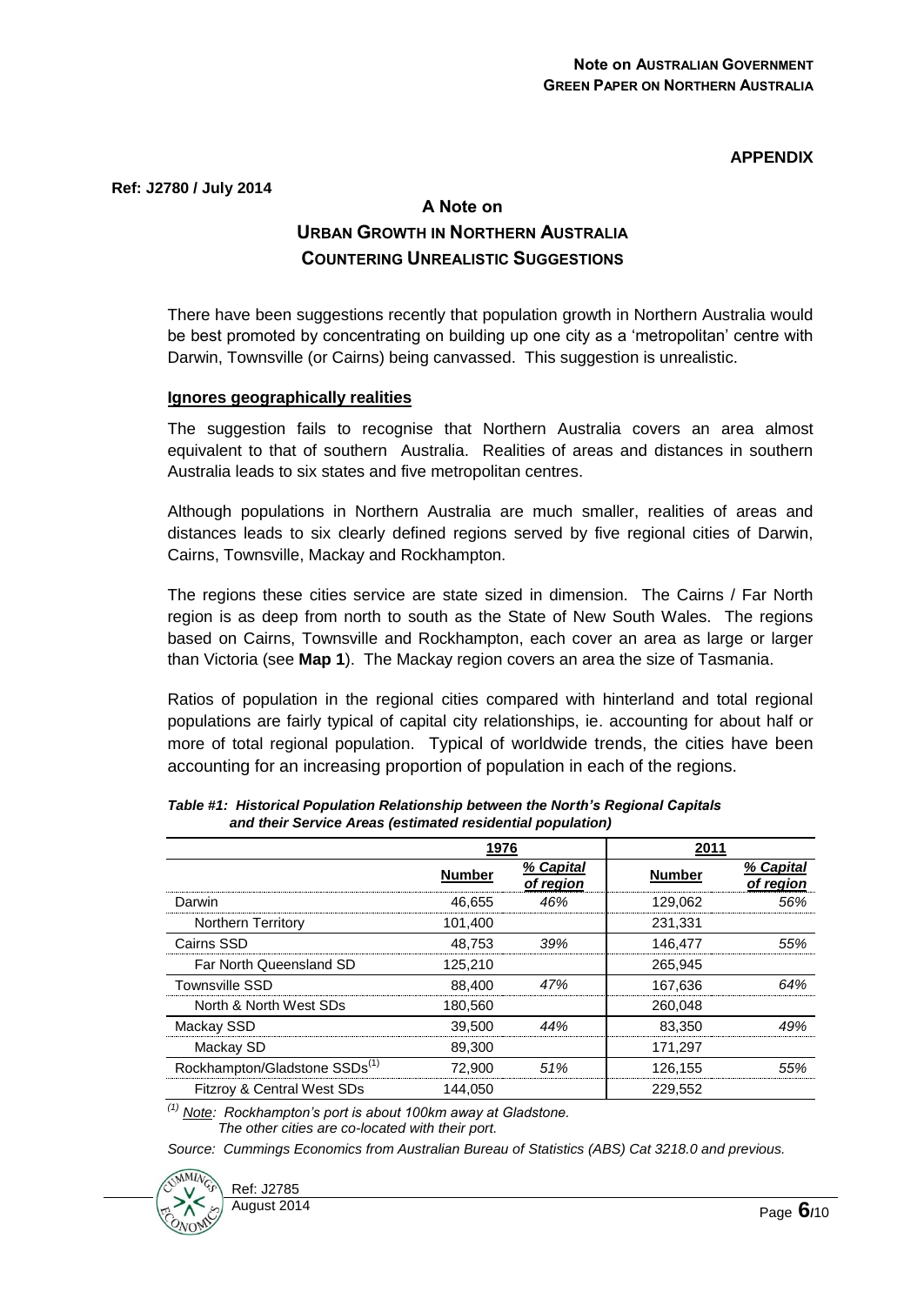## **APPENDIX**

**Ref: J2780 / July 2014**

# **A Note on URBAN GROWTH IN NORTHERN AUSTRALIA COUNTERING UNREALISTIC SUGGESTIONS**

There have been suggestions recently that population growth in Northern Australia would be best promoted by concentrating on building up one city as a 'metropolitan' centre with Darwin, Townsville (or Cairns) being canvassed. This suggestion is unrealistic.

#### **Ignores geographically realities**

The suggestion fails to recognise that Northern Australia covers an area almost equivalent to that of southern Australia. Realities of areas and distances in southern Australia leads to six states and five metropolitan centres.

Although populations in Northern Australia are much smaller, realities of areas and distances leads to six clearly defined regions served by five regional cities of Darwin, Cairns, Townsville, Mackay and Rockhampton.

The regions these cities service are state sized in dimension. The Cairns / Far North region is as deep from north to south as the State of New South Wales. The regions based on Cairns, Townsville and Rockhampton, each cover an area as large or larger than Victoria (see **Map 1**). The Mackay region covers an area the size of Tasmania.

Ratios of population in the regional cities compared with hinterland and total regional populations are fairly typical of capital city relationships, ie. accounting for about half or more of total regional population. Typical of worldwide trends, the cities have been accounting for an increasing proportion of population in each of the regions.

|                                           | 1976          |                        | 2011          |                        |
|-------------------------------------------|---------------|------------------------|---------------|------------------------|
|                                           | <b>Number</b> | % Capital<br>of region | <b>Number</b> | % Capital<br>of region |
| Darwin                                    | 46.655        | 46%                    | 129.062       | .56%                   |
| <b>Northern Territory</b>                 | 101.400       |                        | 231,331       |                        |
| Cairns SSD                                | 48.753        | 39%                    | 146.477       | .55%                   |
| Far North Queensland SD                   | 125.210       |                        | 265.945       |                        |
| <b>Townsville SSD</b>                     | 88.400        | 47%                    | 167.636       | 64%                    |
| North & North West SDs                    | 180.560       |                        | 260.048       |                        |
| Mackay SSD                                | 39,500        | 44%                    | 83.350        | 49%                    |
| Mackay SD                                 | 89,300        |                        | 171.297       |                        |
| Rockhampton/Gladstone SSDs <sup>(1)</sup> | 72.900        | .51%                   | 126.155       | 55%                    |
| Fitzroy & Central West SDs                | 144.050       |                        | 229.552       |                        |

*Table #1: Historical Population Relationship between the North's Regional Capitals and their Service Areas (estimated residential population)*

*(1) Note: Rockhampton's port is about 100km away at Gladstone. The other cities are co-located with their port.*

*Source: Cummings Economics from Australian Bureau of Statistics (ABS) Cat 3218.0 and previous.*

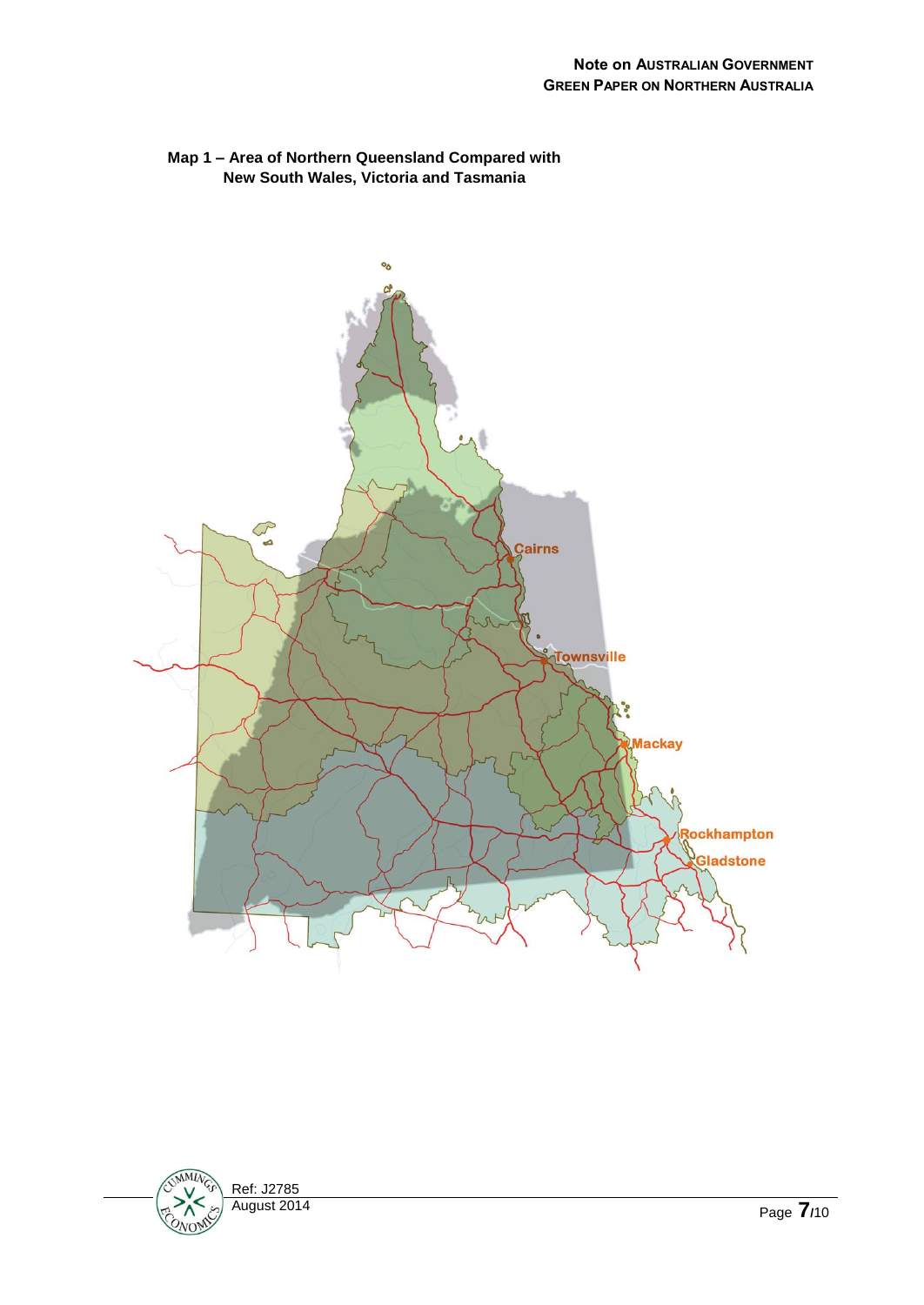

## **Map 1 – Area of Northern Queensland Compared with New South Wales, Victoria and Tasmania**

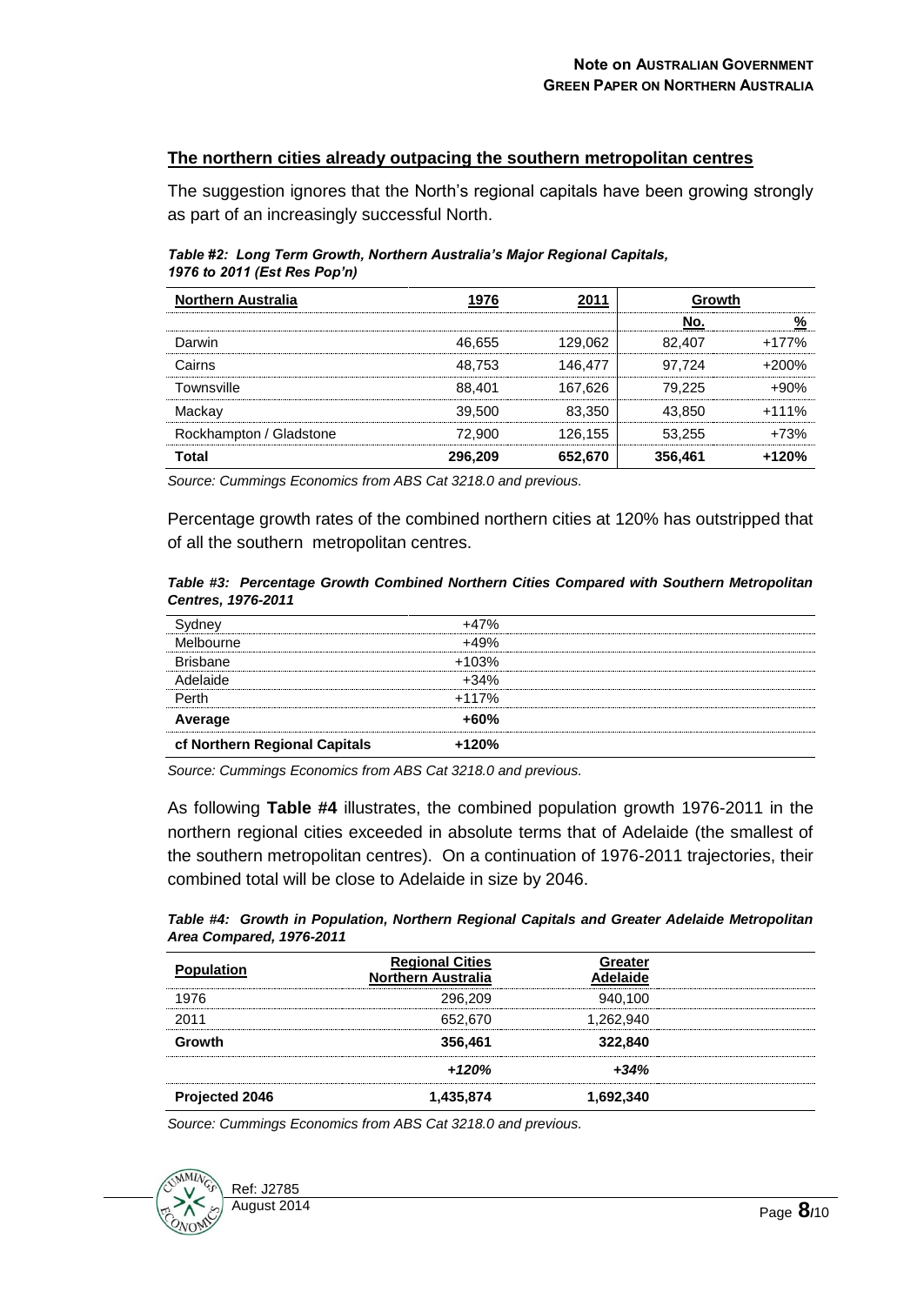## **The northern cities already outpacing the southern metropolitan centres**

The suggestion ignores that the North's regional capitals have been growing strongly as part of an increasingly successful North.

*Table #2: Long Term Growth, Northern Australia's Major Regional Capitals, 1976 to 2011 (Est Res Pop'n)*

| <b>Northern Australia</b> |         |             |            |         |
|---------------------------|---------|-------------|------------|---------|
|                           |         |             |            |         |
| Darwin                    | 46.655  | 129.062<br> | 82.407<br> | $+177%$ |
| Cairns                    | 48.753  | 146 477     | 97.724     | +200%   |
| Townsville                | 88.401  | 167.626     | 79.225     |         |
| Mackay                    | 39,500  | 83 350      | 43.850     | $+111%$ |
| Rockhampton / Gladstone   | 72.900  | <br>26 155  | 53.255     | .73%    |
| Total                     | 296.209 | 652.670     | 356.461    | $+120%$ |

*Source: Cummings Economics from ABS Cat 3218.0 and previous.*

Percentage growth rates of the combined northern cities at 120% has outstripped that of all the southern metropolitan centres.

*Table #3: Percentage Growth Combined Northern Cities Compared with Southern Metropolitan Centres, 1976-2011*

| cf Northern Regional Capitals | $+120%$ |  |
|-------------------------------|---------|--|
| Average                       | $+60%$  |  |
| Perth                         | $+117%$ |  |
| ahirlah                       | $+34%$  |  |
| <b>Brishane</b>               | $+103%$ |  |
| Melbourne                     | $+49%$  |  |
|                               | $+47%$  |  |

*Source: Cummings Economics from ABS Cat 3218.0 and previous.*

As following **Table #4** illustrates, the combined population growth 1976-2011 in the northern regional cities exceeded in absolute terms that of Adelaide (the smallest of the southern metropolitan centres). On a continuation of 1976-2011 trajectories, their combined total will be close to Adelaide in size by 2046.

| Table #4: Growth in Population, Northern Regional Capitals and Greater Adelaide Metropolitan |  |  |  |
|----------------------------------------------------------------------------------------------|--|--|--|
| Area Compared, 1976-2011                                                                     |  |  |  |

| <b>Population</b>     | <b>Regional Cities</b><br><b>Northern Australia</b> | reater    |  |
|-----------------------|-----------------------------------------------------|-----------|--|
| 1976                  | 296.209                                             | 940.100   |  |
| 2011                  | 652.670                                             | 1.262.940 |  |
| Growth                | 356,461                                             | 322,840   |  |
|                       | $+120%$                                             | $+34%$    |  |
| <b>Projected 2046</b> | 1,435,874                                           | 1,692,340 |  |

*Source: Cummings Economics from ABS Cat 3218.0 and previous.*

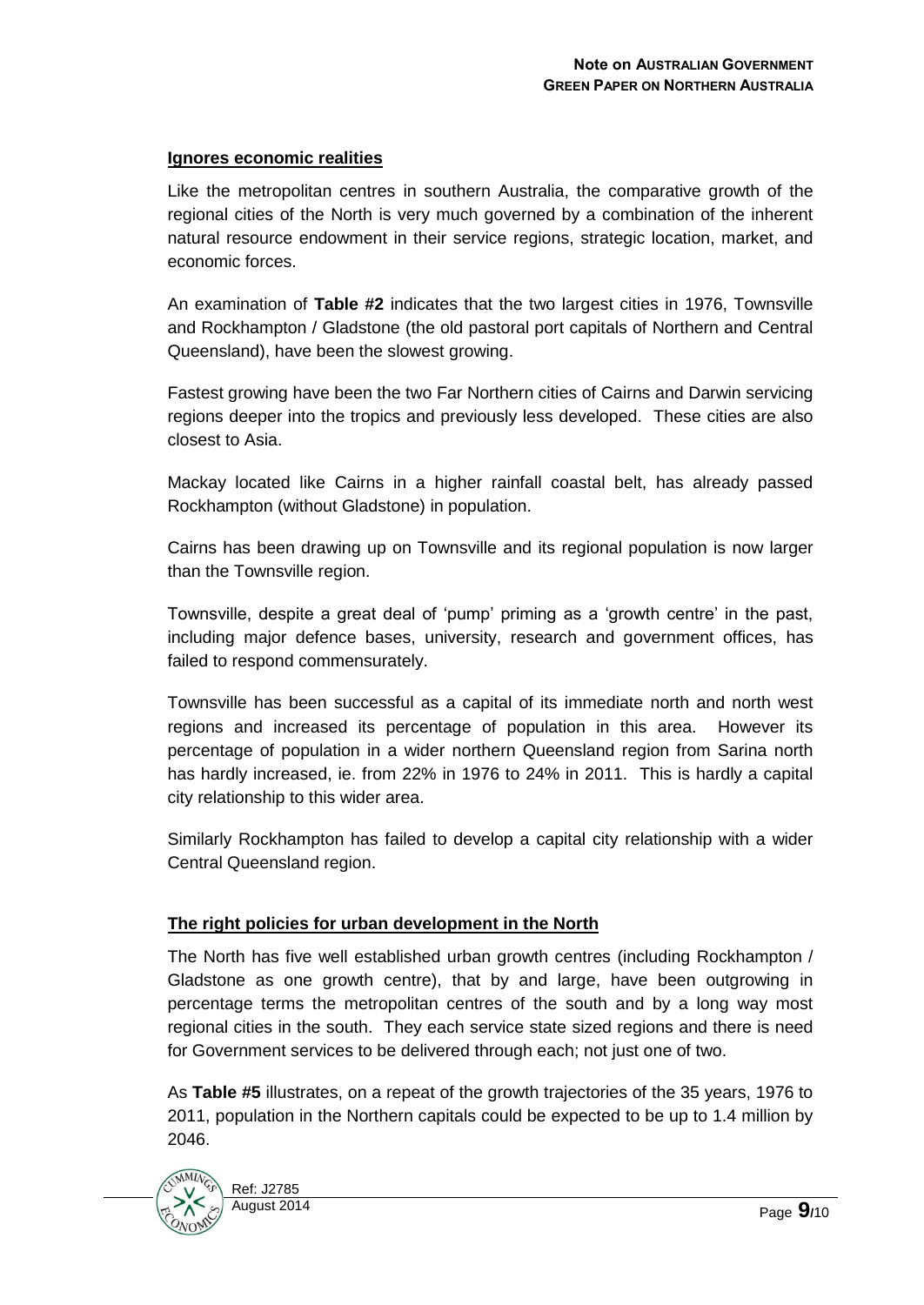## **Ignores economic realities**

Like the metropolitan centres in southern Australia, the comparative growth of the regional cities of the North is very much governed by a combination of the inherent natural resource endowment in their service regions, strategic location, market, and economic forces.

An examination of **Table #2** indicates that the two largest cities in 1976, Townsville and Rockhampton / Gladstone (the old pastoral port capitals of Northern and Central Queensland), have been the slowest growing.

Fastest growing have been the two Far Northern cities of Cairns and Darwin servicing regions deeper into the tropics and previously less developed. These cities are also closest to Asia.

Mackay located like Cairns in a higher rainfall coastal belt, has already passed Rockhampton (without Gladstone) in population.

Cairns has been drawing up on Townsville and its regional population is now larger than the Townsville region.

Townsville, despite a great deal of 'pump' priming as a 'growth centre' in the past, including major defence bases, university, research and government offices, has failed to respond commensurately.

Townsville has been successful as a capital of its immediate north and north west regions and increased its percentage of population in this area. However its percentage of population in a wider northern Queensland region from Sarina north has hardly increased, ie. from 22% in 1976 to 24% in 2011. This is hardly a capital city relationship to this wider area.

Similarly Rockhampton has failed to develop a capital city relationship with a wider Central Queensland region.

## **The right policies for urban development in the North**

The North has five well established urban growth centres (including Rockhampton / Gladstone as one growth centre), that by and large, have been outgrowing in percentage terms the metropolitan centres of the south and by a long way most regional cities in the south. They each service state sized regions and there is need for Government services to be delivered through each; not just one of two.

As **Table #5** illustrates, on a repeat of the growth trajectories of the 35 years, 1976 to 2011, population in the Northern capitals could be expected to be up to 1.4 million by 2046.